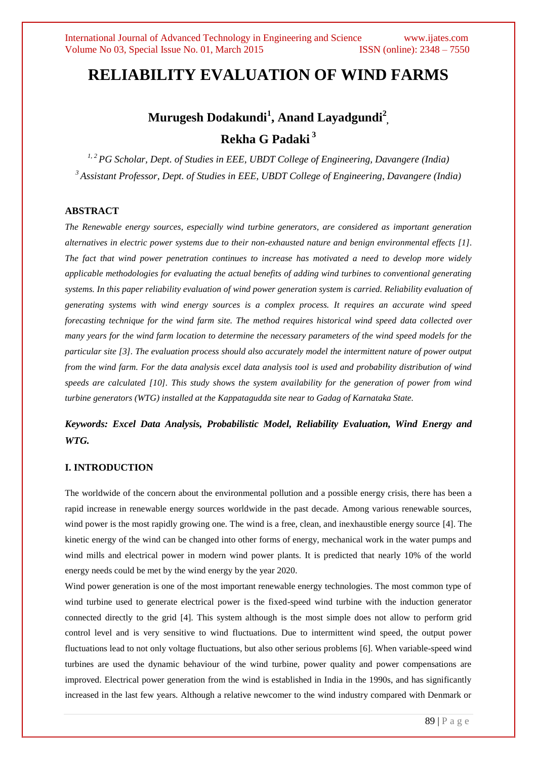# **RELIABILITY EVALUATION OF WIND FARMS**

# **Murugesh Dodakundi<sup>1</sup> , Anand Layadgundi<sup>2</sup> , Rekha G Padaki <sup>3</sup>**

*1, 2 PG Scholar, Dept. of Studies in EEE, UBDT College of Engineering, Davangere (India) <sup>3</sup>Assistant Professor, Dept. of Studies in EEE, UBDT College of Engineering, Davangere (India)*

# **ABSTRACT**

*The Renewable energy sources, especially wind turbine generators, are considered as important generation alternatives in electric power systems due to their non-exhausted nature and benign environmental effects [1]. The fact that wind power penetration continues to increase has motivated a need to develop more widely applicable methodologies for evaluating the actual benefits of adding wind turbines to conventional generating systems. In this paper reliability evaluation of wind power generation system is carried. Reliability evaluation of generating systems with wind energy sources is a complex process. It requires an accurate wind speed forecasting technique for the wind farm site. The method requires historical wind speed data collected over many years for the wind farm location to determine the necessary parameters of the wind speed models for the particular site [3]. The evaluation process should also accurately model the intermittent nature of power output from the wind farm. For the data analysis excel data analysis tool is used and probability distribution of wind speeds are calculated [10]. This study shows the system availability for the generation of power from wind turbine generators (WTG) installed at the Kappatagudda site near to Gadag of Karnataka State.*

# *Keywords: Excel Data Analysis, Probabilistic Model, Reliability Evaluation, Wind Energy and WTG.*

#### **I. INTRODUCTION**

The worldwide of the concern about the environmental pollution and a possible energy crisis, there has been a rapid increase in renewable energy sources worldwide in the past decade. Among various renewable sources, wind power is the most rapidly growing one. The wind is a free, clean, and inexhaustible energy source [4]. The kinetic energy of the wind can be changed into other forms of energy, mechanical work in the water pumps and wind mills and electrical power in modern wind power plants. It is predicted that nearly 10% of the world energy needs could be met by the wind energy by the year 2020.

Wind power generation is one of the most important renewable energy technologies. The most common type of wind turbine used to generate electrical power is the fixed-speed wind turbine with the induction generator connected directly to the grid [4]. This system although is the most simple does not allow to perform grid control level and is very sensitive to wind fluctuations. Due to intermittent wind speed, the output power fluctuations lead to not only voltage fluctuations, but also other serious problems [6]. When variable-speed wind turbines are used the dynamic behaviour of the wind turbine, power quality and power compensations are improved. Electrical power generation from the wind is established in India in the 1990s, and has significantly increased in the last few years. Although a relative newcomer to the wind industry compared with Denmark or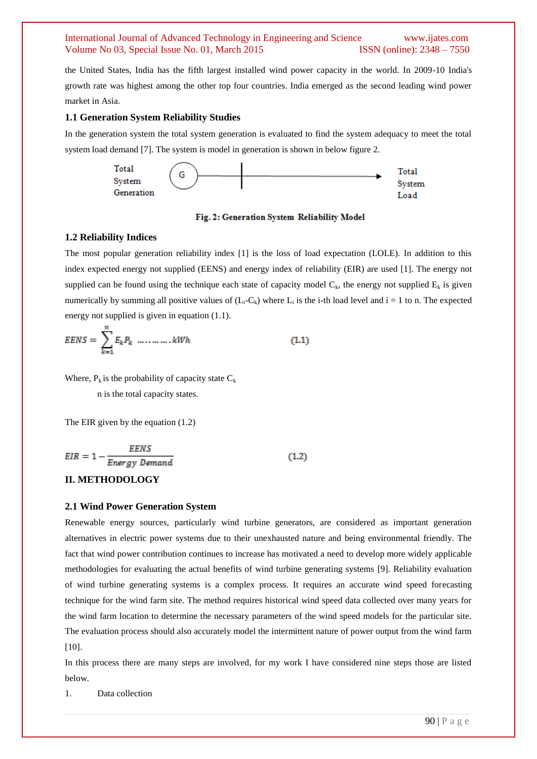the United States, India has the fifth largest installed wind power capacity in the world. In 2009-10 India's growth rate was highest among the other top four countries. India emerged as the second leading wind power market in Asia.

#### **1.1 Generation System Reliability Studies**

In the generation system the total system generation is evaluated to find the system adequacy to meet the total system load demand [7]. The system is model in generation is shown in below figure 2.



Fig. 2: Generation System Reliability Model

#### **1.2 Reliability Indices**

The most popular generation reliability index [1] is the loss of load expectation (LOLE). In addition to this index expected energy not supplied (EENS) and energy index of reliability (EIR) are used [1]. The energy not supplied can be found using the technique each state of capacity model  $C_k$ , the energy not supplied  $E_k$  is given numerically by summing all positive values of  $(L_i-C_k)$  where  $L_i$  is the i-th load level and  $i = 1$  to n. The expected energy not supplied is given in equation (1.1).

Where,  $P_k$  is the probability of capacity state  $C_k$ 

n is the total capacity states.

The EIR given by the equation (1.2)

$$
EIR = 1 - \frac{EENS}{Energy\ Demand}
$$
 (1.2)

### **II. METHODOLOGY**

#### **2.1 Wind Power Generation System**

Renewable energy sources, particularly wind turbine generators, are considered as important generation alternatives in electric power systems due to their unexhausted nature and being environmental friendly. The fact that wind power contribution continues to increase has motivated a need to develop more widely applicable methodologies for evaluating the actual benefits of wind turbine generating systems [9]. Reliability evaluation of wind turbine generating systems is a complex process. It requires an accurate wind speed forecasting technique for the wind farm site. The method requires historical wind speed data collected over many years for the wind farm location to determine the necessary parameters of the wind speed models for the particular site. The evaluation process should also accurately model the intermittent nature of power output from the wind farm [10].

In this process there are many steps are involved, for my work I have considered nine steps those are listed below.

1. Data collection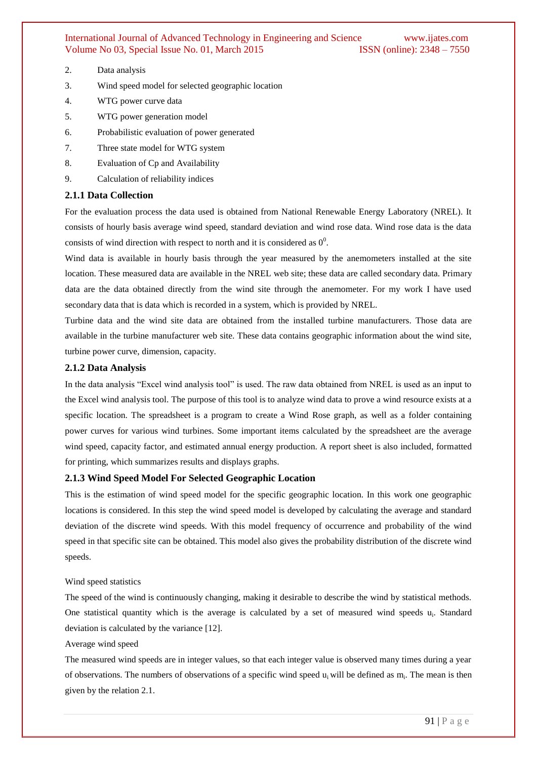- 2. Data analysis
- 3. Wind speed model for selected geographic location
- 4. WTG power curve data
- 5. WTG power generation model
- 6. Probabilistic evaluation of power generated
- 7. Three state model for WTG system
- 8. Evaluation of Cp and Availability
- 9. Calculation of reliability indices

#### **2.1.1 Data Collection**

For the evaluation process the data used is obtained from National Renewable Energy Laboratory (NREL). It consists of hourly basis average wind speed, standard deviation and wind rose data. Wind rose data is the data consists of wind direction with respect to north and it is considered as  $0^0$ .

Wind data is available in hourly basis through the year measured by the anemometers installed at the site location. These measured data are available in the NREL web site; these data are called secondary data. Primary data are the data obtained directly from the wind site through the anemometer. For my work I have used secondary data that is data which is recorded in a system, which is provided by NREL.

Turbine data and the wind site data are obtained from the installed turbine manufacturers. Those data are available in the turbine manufacturer web site. These data contains geographic information about the wind site, turbine power curve, dimension, capacity.

#### **2.1.2 Data Analysis**

In the data analysis "Excel wind analysis tool" is used. The raw data obtained from NREL is used as an input to the Excel wind analysis tool. The purpose of this tool is to analyze wind data to prove a wind resource exists at a specific location. The spreadsheet is a program to create a Wind Rose graph, as well as a folder containing power curves for various wind turbines. Some important items calculated by the spreadsheet are the average wind speed, capacity factor, and estimated annual energy production. A report sheet is also included, formatted for printing, which summarizes results and displays graphs.

### **2.1.3 Wind Speed Model For Selected Geographic Location**

This is the estimation of wind speed model for the specific geographic location. In this work one geographic locations is considered. In this step the wind speed model is developed by calculating the average and standard deviation of the discrete wind speeds. With this model frequency of occurrence and probability of the wind speed in that specific site can be obtained. This model also gives the probability distribution of the discrete wind speeds.

#### Wind speed statistics

The speed of the wind is continuously changing, making it desirable to describe the wind by statistical methods. One statistical quantity which is the average is calculated by a set of measured wind speeds u<sub>i</sub>. Standard deviation is calculated by the variance [12].

#### Average wind speed

The measured wind speeds are in integer values, so that each integer value is observed many times during a year of observations. The numbers of observations of a specific wind speed  $u_i$  will be defined as  $m_i$ . The mean is then given by the relation 2.1.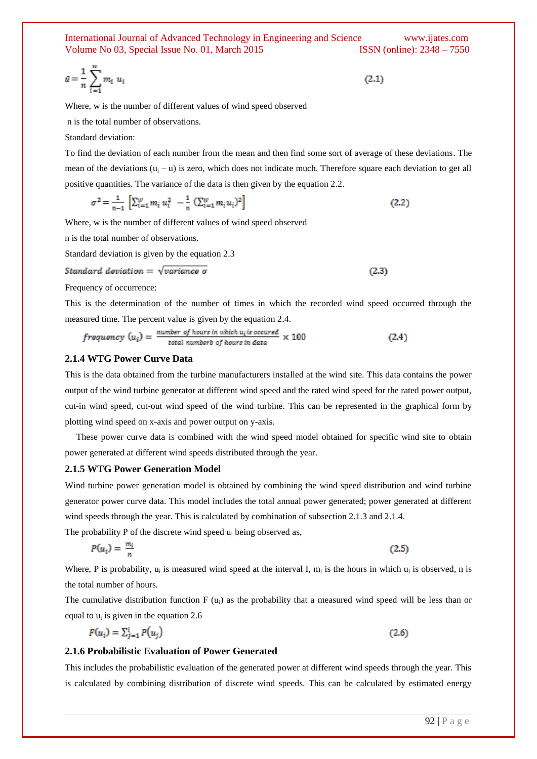$$
\bar{u} = \frac{1}{n} \sum_{i=1}^{w} m_i u_i \tag{2.1}
$$

Where, w is the number of different values of wind speed observed

n is the total number of observations.

Standard deviation:

To find the deviation of each number from the mean and then find some sort of average of these deviations. The mean of the deviations  $(u_i - u)$  is zero, which does not indicate much. Therefore square each deviation to get all positive quantities. The variance of the data is then given by the equation 2.2.

$$
\sigma^2 = \frac{1}{n-1} \left[ \sum_{i=1}^W m_i u_i^2 - \frac{1}{n} \left( \sum_{i=1}^W m_i u_i \right)^2 \right] \tag{2.2}
$$

Where, w is the number of different values of wind speed observed

n is the total number of observations.

Standard deviation is given by the equation 2.3

Standard deviation = 
$$
\sqrt{variance \sigma}
$$
 (2.3)

Frequency of occurrence:

This is the determination of the number of times in which the recorded wind speed occurred through the measured time. The percent value is given by the equation 2.4.

$$
frequency (ui) = \frac{number of hours in which ui is occurred}{total number b of hours in data} \times 100
$$
 (2.4)

#### **2.1.4 WTG Power Curve Data**

This is the data obtained from the turbine manufacturers installed at the wind site. This data contains the power output of the wind turbine generator at different wind speed and the rated wind speed for the rated power output, cut-in wind speed, cut-out wind speed of the wind turbine. This can be represented in the graphical form by plotting wind speed on x-axis and power output on y-axis.

 These power curve data is combined with the wind speed model obtained for specific wind site to obtain power generated at different wind speeds distributed through the year.

#### **2.1.5 WTG Power Generation Model**

Wind turbine power generation model is obtained by combining the wind speed distribution and wind turbine generator power curve data. This model includes the total annual power generated; power generated at different wind speeds through the year. This is calculated by combination of subsection 2.1.3 and 2.1.4.

The probability P of the discrete wind speed  $u_i$  being observed as,

$$
P(u_i) = \frac{m_i}{n} \tag{2.5}
$$

Where, P is probability,  $u_i$  is measured wind speed at the interval I,  $m_i$  is the hours in which  $u_i$  is observed, n is the total number of hours.

The cumulative distribution function F  $(u_i)$  as the probability that a measured wind speed will be less than or equal to  $u_i$  is given in the equation 2.6

$$
F(u_i) = \sum_{j=1}^{i} P(u_j)
$$
\n(2.6)

#### **2.1.6 Probabilistic Evaluation of Power Generated**

This includes the probabilistic evaluation of the generated power at different wind speeds through the year. This is calculated by combining distribution of discrete wind speeds. This can be calculated by estimated energy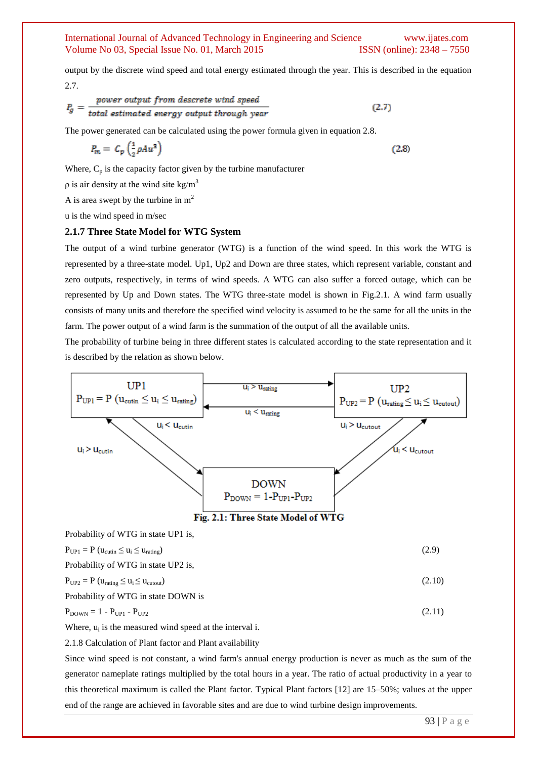output by the discrete wind speed and total energy estimated through the year. This is described in the equation 2.7.

$$
P_g = \frac{power \ output \ from \ discrete \ wind \ speed}{total \ estimated \ energy \ output \ through \ year}
$$
 (2.7)

The power generated can be calculated using the power formula given in equation 2.8.

$$
P_m = C_p \left(\frac{1}{2} \rho A u^3\right) \tag{2.8}
$$

Where,  $C_p$  is the capacity factor given by the turbine manufacturer

 $ρ$  is air density at the wind site kg/m<sup>3</sup>

A is area swept by the turbine in  $m<sup>2</sup>$ 

u is the wind speed in m/sec

#### **2.1.7 Three State Model for WTG System**

The output of a wind turbine generator (WTG) is a function of the wind speed. In this work the WTG is represented by a three-state model. Up1, Up2 and Down are three states, which represent variable, constant and zero outputs, respectively, in terms of wind speeds. A WTG can also suffer a forced outage, which can be represented by Up and Down states. The WTG three-state model is shown in Fig.2.1. A wind farm usually consists of many units and therefore the specified wind velocity is assumed to be the same for all the units in the farm. The power output of a wind farm is the summation of the output of all the available units.

The probability of turbine being in three different states is calculated according to the state representation and it is described by the relation as shown below.



Probability of WTG in state Down is  
\n
$$
P_{\text{DOWN}} = 1 - P_{\text{UP1}} - P_{\text{UP2}} \tag{2.11}
$$

Where,  $u_i$  is the measured wind speed at the interval i.

2.1.8 Calculation of Plant factor and Plant availability

Since wind speed is not constant, a wind farm's annual energy production is never as much as the sum of the generator nameplate ratings multiplied by the total hours in a year. The ratio of actual productivity in a year to this theoretical maximum is called the Plant factor. Typical Plant factors [12] are 15–50%; values at the upper end of the range are achieved in favorable sites and are due to wind turbine design improvements.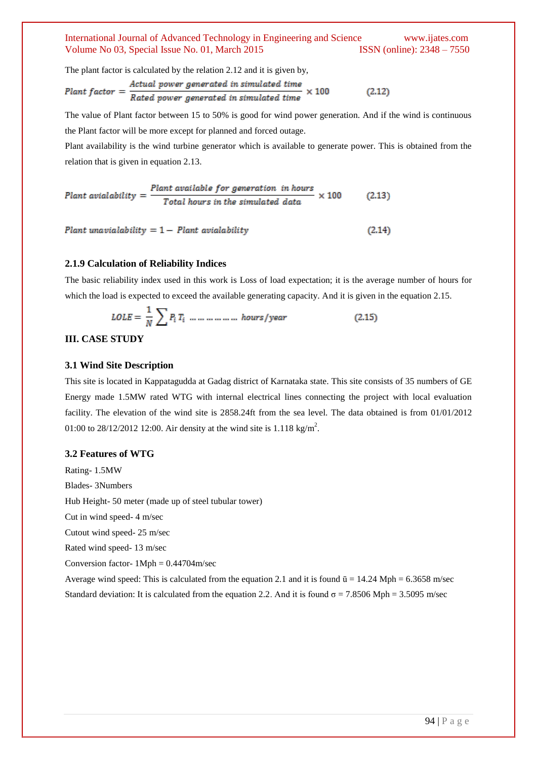The plant factor is calculated by the relation 2.12 and it is given by,

$$
Plant factor = \frac{Actual power generated in simulated time}{Rateed power generated in simulated time} \times 100
$$
 (2.12)

The value of Plant factor between 15 to 50% is good for wind power generation. And if the wind is continuous the Plant factor will be more except for planned and forced outage.

Plant availability is the wind turbine generator which is available to generate power. This is obtained from the relation that is given in equation 2.13.

Plant availability = 
$$
\frac{Plant\ available\ for\ generation\ in\ hours}{Total\ hours\ in\ the\ simulated\ data} \times 100
$$
 (2.13)

Plant unavialability  $= 1 -$  Plant avialability

#### **2.1.9 Calculation of Reliability Indices**

The basic reliability index used in this work is Loss of load expectation; it is the average number of hours for which the load is expected to exceed the available generating capacity. And it is given in the equation 2.15.

 $(2.14)$ 

#### **III. CASE STUDY**

#### **3.1 Wind Site Description**

This site is located in Kappatagudda at Gadag district of Karnataka state. This site consists of 35 numbers of GE Energy made 1.5MW rated WTG with internal electrical lines connecting the project with local evaluation facility. The elevation of the wind site is 2858.24ft from the sea level. The data obtained is from 01/01/2012 01:00 to 28/12/2012 12:00. Air density at the wind site is 1.118 kg/m<sup>2</sup>.

#### **3.2 Features of WTG**

Rating- 1.5MW Blades- 3Numbers Hub Height- 50 meter (made up of steel tubular tower) Cut in wind speed- 4 m/sec Cutout wind speed- 25 m/sec Rated wind speed- 13 m/sec Conversion factor-  $1Mph = 0.44704m/sec$ Average wind speed: This is calculated from the equation 2.1 and it is found  $\bar{u} = 14.24$  Mph = 6.3658 m/sec Standard deviation: It is calculated from the equation 2.2. And it is found  $\sigma = 7.8506$  Mph = 3.5095 m/sec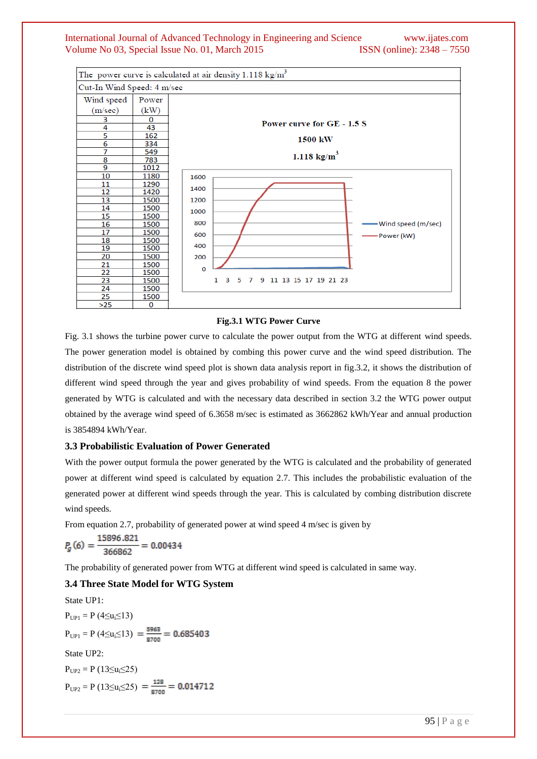

#### **Fig.3.1 WTG Power Curve**

Fig. 3.1 shows the turbine power curve to calculate the power output from the WTG at different wind speeds. The power generation model is obtained by combing this power curve and the wind speed distribution. The distribution of the discrete wind speed plot is shown data analysis report in fig.3.2, it shows the distribution of different wind speed through the year and gives probability of wind speeds. From the equation 8 the power generated by WTG is calculated and with the necessary data described in section 3.2 the WTG power output obtained by the average wind speed of 6.3658 m/sec is estimated as 3662862 kWh/Year and annual production is 3854894 kWh/Year.

# **3.3 Probabilistic Evaluation of Power Generated**

With the power output formula the power generated by the WTG is calculated and the probability of generated power at different wind speed is calculated by equation 2.7. This includes the probabilistic evaluation of the generated power at different wind speeds through the year. This is calculated by combing distribution discrete wind speeds.

From equation 2.7, probability of generated power at wind speed 4 m/sec is given by

$$
P_g(6) = \frac{15896.821}{366862} = 0.00434
$$

The probability of generated power from WTG at different wind speed is calculated in same way.

#### **3.4 Three State Model for WTG System**

State UP1:  $P_{UP1} = P (4 \le u_i \le 13)$  $P_{UP1} = P(4 \le u_i \le 13) = \frac{5963}{8700} = 0.685403$ State UP2:  $P_{UP2} = P(13 \le u_i \le 25)$  $P_{UP2} = P(13 \le u_i \le 25) = \frac{128}{8700} = 0.014712$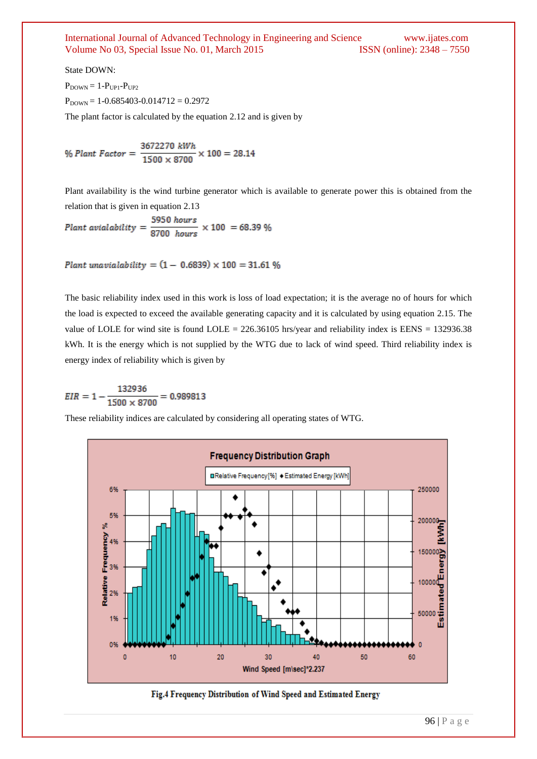State DOWN:

 $P_{\text{DOWN}} = 1-P_{\text{UP1}}-P_{\text{UP2}}$  $P_{DOWN} = 1-0.685403-0.014712 = 0.2972$ 

The plant factor is calculated by the equation 2.12 and is given by

% Plant Factor = 
$$
\frac{3672270 \text{ kWh}}{1500 \times 8700} \times 100 = 28.14
$$

Plant availability is the wind turbine generator which is available to generate power this is obtained from the relation that is given in equation 2.13

$$
Plant\ availableit{ivity} = \frac{5950\ hours}{8700\ hours} \times 100 = 68.39\%
$$

Plant unavialability =  $(1 - 0.6839) \times 100 = 31.61$  %

The basic reliability index used in this work is loss of load expectation; it is the average no of hours for which the load is expected to exceed the available generating capacity and it is calculated by using equation 2.15. The value of LOLE for wind site is found LOLE =  $226.36105$  hrs/year and reliability index is EENS = 132936.38 kWh. It is the energy which is not supplied by the WTG due to lack of wind speed. Third reliability index is energy index of reliability which is given by

$$
EIR = 1 - \frac{132936}{1500 \times 8700} = 0.989813
$$

These reliability indices are calculated by considering all operating states of WTG.



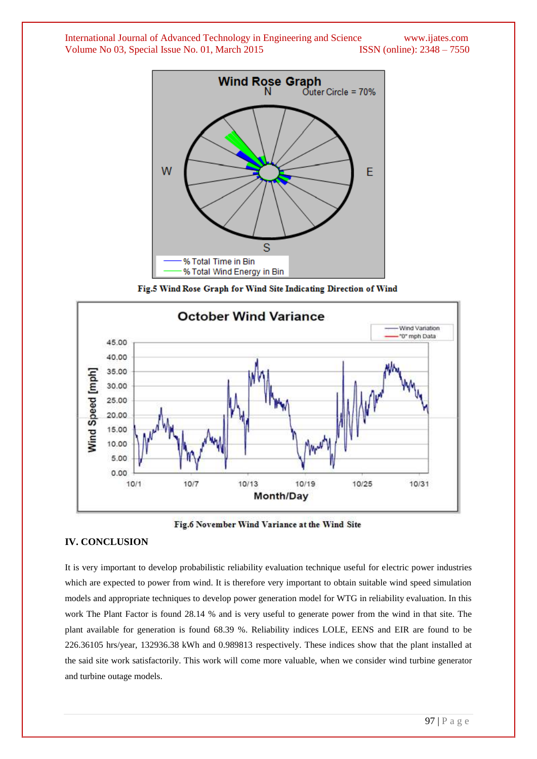

Fig.5 Wind Rose Graph for Wind Site Indicating Direction of Wind



Fig.6 November Wind Variance at the Wind Site

#### **IV. CONCLUSION**

It is very important to develop probabilistic reliability evaluation technique useful for electric power industries which are expected to power from wind. It is therefore very important to obtain suitable wind speed simulation models and appropriate techniques to develop power generation model for WTG in reliability evaluation. In this work The Plant Factor is found 28.14 % and is very useful to generate power from the wind in that site. The plant available for generation is found 68.39 %. Reliability indices LOLE, EENS and EIR are found to be 226.36105 hrs/year, 132936.38 kWh and 0.989813 respectively. These indices show that the plant installed at the said site work satisfactorily. This work will come more valuable, when we consider wind turbine generator and turbine outage models.